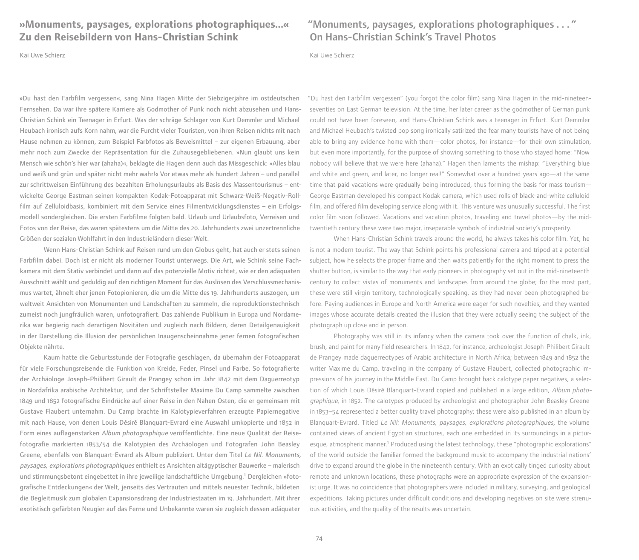## **»Monuments, paysages, explorations photographiques...« Zu den Reisebildern von Hans-Christian Schink**

Kai Uwe Schierz

»Du hast den Farbfilm vergessen«, sang Nina Hagen Mitte der Siebzigerjahre im ostdeutschen Fernsehen. Da war ihre spätere Karriere als Godmother of Punk noch nicht abzusehen und Hans-Christian Schink ein Teenager in Erfurt. Was der schräge Schlager von Kurt Demmler und Michael Heubach ironisch aufs Korn nahm, war die Furcht vieler Touristen, von ihren Reisen nichts mit nach Hause nehmen zu können, zum Beispiel Farbfotos als Beweismittel – zur eigenen Erbauung, aber mehr noch zum Zwecke der Repräsentation für die Zuhausegebliebenen. »Nun glaubt uns kein Mensch wie schön's hier war (ahaha)«, beklagte die Hagen denn auch das Missgeschick: »Alles blau und weiß und grün und später nicht mehr wahr!« Vor etwas mehr als hundert Jahren – und parallel zur schrittweisen Einführung des bezahlten Erholungsurlaubs als Basis des Massentourismus – entwickelte George Eastman seinen kompakten Kodak-Fotoapparat mit Schwarz-Weiß-Negativ-Rollfilm auf Zelluloidbasis, kombiniert mit dem Service eines Filmentwicklungsdienstes – ein Erfolgsmodell sondergleichen. Die ersten Farbfilme folgten bald. Urlaub und Urlaubsfoto, Verreisen und Fotos von der Reise, das waren spätestens um die Mitte des 20. Jahrhunderts zwei unzertrennliche Größen der sozialen Wohlfahrt in den Industrieländern dieser Welt.

Wenn Hans-Christian Schink auf Reisen rund um den Globus geht, hat auch er stets seinen Farbfilm dabei. Doch ist er nicht als moderner Tourist unterwegs. Die Art, wie Schink seine Fachkamera mit dem Stativ verbindet und dann auf das potenzielle Motiv richtet, wie er den adäquaten Ausschnitt wählt und geduldig auf den richtigen Moment für das Auslösen des Verschlussmechanismus wartet, ähnelt eher jenen Fotopionieren, die um die Mitte des 19. Jahrhunderts auszogen, um weltweit Ansichten von Monumenten und Landschaften zu sammeln, die reproduktionstechnisch zumeist noch jungfräulich waren, unfotografiert. Das zahlende Publikum in Europa und Nordamerika war begierig nach derartigen Novitäten und zugleich nach Bildern, deren Detailgenauigkeit in der Darstellung die Illusion der persönlichen Inaugenscheinnahme jener fernen fotografischen Objekte nährte.

Kaum hatte die Geburtsstunde der Fotografie geschlagen, da übernahm der Fotoapparat für viele Forschungsreisende die Funktion von Kreide, Feder, Pinsel und Farbe. So fotografierte der Archäologe Joseph-Philibert Girault de Prangey schon im Jahr 1842 mit dem Daguerreotyp in Nordafrika arabische Architektur, und der Schriftsteller Maxime Du Camp sammelte zwischen 1849 und 1852 fotografische Eindrücke auf einer Reise in den Nahen Osten, die er gemeinsam mit Gustave Flaubert unternahm. Du Camp brachte im Kalotypieverfahren erzeugte Papiernegative mit nach Hause, von denen Louis Désiré Blanquart-Evrard eine Auswahl umkopierte und 1852 in Form eines auflagenstarken Album photographique veröffentlichte. Eine neue Qualität der Reisefotografie markierten 1853/54 die Kalotypien des Archäologen und Fotografen John Beasley Greene, ebenfalls von Blanquart-Evrard als Album publiziert. Unter dem Titel Le Nil. Monuments, paysages, explorations photographiques enthielt es Ansichten altägyptischer Bauwerke – malerisch und stimmungsbetont eingebettet in ihre jeweilige landschaftliche Umgebung.**<sup>1</sup>** Dergleichen »fotografische Entdeckungen« der Welt, jenseits des Vertrauten und mittels neuester Technik, bildeten die Begleitmusik zum globalen Expansionsdrang der Industriestaaten im 19. Jahrhundert. Mit ihrer exotistisch gefärbten Neugier auf das Ferne und Unbekannte waren sie zugleich dessen adäquater

"Monuments, paysages, explorations photographiques . . . " On Hans-Christian Schink's Travel Photos

Kai Uwe Schierz

"Du hast den Farbfilm vergessen" (you forgot the color film) sang Nina Hagen in the mid-nineteenseventies on East German television. At the time, her later career as the godmother of German punk could not have been foreseen, and Hans-Christian Schink was a teenager in Erfurt. Kurt Demmler and Michael Heubach's twisted pop song ironically satirized the fear many tourists have of not being able to bring any evidence home with them—color photos, for instance—for their own stimulation, but even more importantly, for the purpose of showing something to those who stayed home: "Now nobody will believe that we were here (ahaha)." Hagen then laments the mishap: "Everything blue and white and green, and later, no longer real!" Somewhat over a hundred years ago—at the same time that paid vacations were gradually being introduced, thus forming the basis for mass tourism— George Eastman developed his compact Kodak camera, which used rolls of black-and-white celluloid film, and offered film developing service along with it. This venture was unusually successful. The first color film soon followed. Vacations and vacation photos, traveling and travel photos—by the midtwentieth century these were two major, inseparable symbols of industrial society's prosperity.

When Hans-Christian Schink travels around the world, he always takes his color film. Yet, he is not a modern tourist. The way that Schink points his professional camera and tripod at a potential subject, how he selects the proper frame and then waits patiently for the right moment to press the shutter button, is similar to the way that early pioneers in photography set out in the mid-nineteenth century to collect vistas of monuments and landscapes from around the globe; for the most part, these were still virgin territory, technologically speaking, as they had never been photographed before. Paying audiences in Europe and North America were eager for such novelties, and they wanted images whose accurate details created the illusion that they were actually seeing the subject of the photograph up close and in person.

Photography was still in its infancy when the camera took over the function of chalk, ink, brush, and paint for many field researchers. In 1842, for instance, archeologist Joseph-Philibert Girault de Prangey made daguerreotypes of Arabic architecture in North Africa; between 1849 and 1852 the writer Maxime du Camp, traveling in the company of Gustave Flaubert, collected photographic impressions of his journey in the Middle East. Du Camp brought back calotype paper negatives, a selection of which Louis Désiré Blanquart-Evrard copied and published in a large edition, Album photographique, in 1852. The calotypes produced by archeologist and photographer John Beasley Greene in 1853–54 represented a better quality travel photography; these were also published in an album by Blanquart-Evrard. Titled Le Nil: Monuments, paysages, explorations photographiques, the volume contained views of ancient Egyptian structures, each one embedded in its surroundings in a picturesque, atmospheric manner.<sup>1</sup> Produced using the latest technology, these "photographic explorations" of the world outside the familiar formed the background music to accompany the industrial nations' drive to expand around the globe in the nineteenth century. With an exotically tinged curiosity about remote and unknown locations, these photographs were an appropriate expression of the expansionist urge. It was no coincidence that photographers were included in military, surveying, and geological expeditions. Taking pictures under difficult conditions and developing negatives on site were strenuous activities, and the quality of the results was uncertain.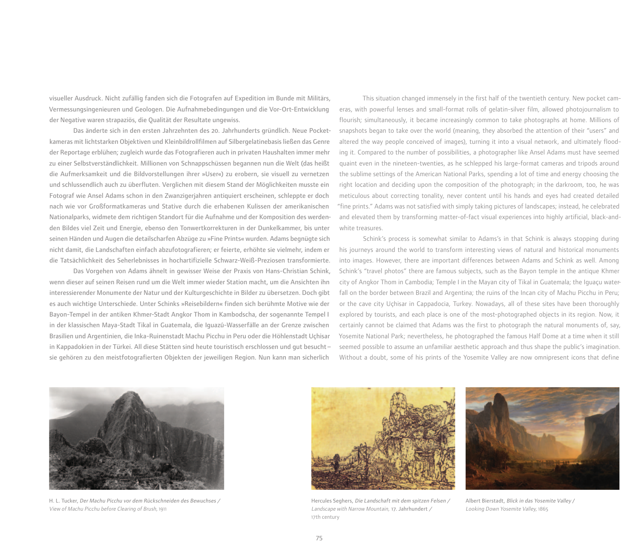visueller Ausdruck. Nicht zufällig fanden sich die Fotografen auf Expedition im Bunde mit Militärs, Vermessungsingenieuren und Geologen. Die Aufnahmebedingungen und die Vor-Ort-Entwicklung der Negative waren strapaziös, die Qualität der Resultate ungewiss.

Das änderte sich in den ersten Jahrzehnten des 20. Jahrhunderts gründlich. Neue Pocketkameras mit lichtstarken Objektiven und Kleinbildrollfilmen auf Silbergelatinebasis ließen das Genre der Reportage erblühen; zugleich wurde das Fotografieren auch in privaten Haushalten immer mehr zu einer Selbstverständlichkeit. Millionen von Schnappschüssen begannen nun die Welt (das heißt die Aufmerksamkeit und die Bildvorstellungen ihrer »User«) zu erobern, sie visuell zu vernetzen und schlussendlich auch zu überfluten. Verglichen mit diesem Stand der Möglichkeiten musste ein Fotograf wie Ansel Adams schon in den Zwanzigerjahren antiquiert erscheinen, schleppte er doch nach wie vor Großformatkameras und Stative durch die erhabenen Kulissen der amerikanischen Nationalparks, widmete dem richtigen Standort für die Aufnahme und der Komposition des werdenden Bildes viel Zeit und Energie, ebenso den Tonwertkorrekturen in der Dunkelkammer, bis unter seinen Händen und Augen die detailscharfen Abzüge zu »Fine Prints« wurden. Adams begnügte sich nicht damit, die Landschaften einfach abzufotografieren; er feierte, erhöhte sie vielmehr, indem er die Tatsächlichkeit des Seherlebnisses in hochartifizielle Schwarz-Weiß-Preziosen transformierte.

Das Vorgehen von Adams ähnelt in gewisser Weise der Praxis von Hans-Christian Schink, wenn dieser auf seinen Reisen rund um die Welt immer wieder Station macht, um die Ansichten ihn interessierender Monumente der Natur und der Kulturgeschichte in Bilder zu übersetzen. Doch gibt es auch wichtige Unterschiede. Unter Schinks »Reisebildern« finden sich berühmte Motive wie der Bayon-Tempel in der antiken Khmer-Stadt Angkor Thom in Kambodscha, der sogenannte Tempel I in der klassischen Maya-Stadt Tikal in Guatemala, die Iguazú-Wasserfälle an der Grenze zwischen Brasilien und Argentinien, die Inka-Ruinenstadt Machu Picchu in Peru oder die Höhlenstadt Uçhisar in Kappadokien in der Türkei. All diese Stätten sind heute touristisch erschlossen und gut besucht – sie gehören zu den meistfotografierten Objekten der jeweiligen Region. Nun kann man sicherlich

This situation changed immensely in the first half of the twentieth century. New pocket cameras, with powerful lenses and small-format rolls of gelatin-silver film, allowed photojournalism to flourish; simultaneously, it became increasingly common to take photographs at home. Millions of snapshots began to take over the world (meaning, they absorbed the attention of their "users" and altered the way people conceived of images), turning it into a visual network, and ultimately flooding it. Compared to the number of possibilities, a photographer like Ansel Adams must have seemed quaint even in the nineteen-twenties, as he schlepped his large-format cameras and tripods around the sublime settings of the American National Parks, spending a lot of time and energy choosing the right location and deciding upon the composition of the photograph; in the darkroom, too, he was meticulous about correcting tonality, never content until his hands and eyes had created detailed "fine prints." Adams was not satisfied with simply taking pictures of landscapes; instead, he celebrated and elevated them by transforming matter-of-fact visual experiences into highly artificial, black-andwhite treasures.

Schink's process is somewhat similar to Adams's in that Schink is always stopping during his journeys around the world to transform interesting views of natural and historical monuments into images. However, there are important differences between Adams and Schink as well. Among Schink's "travel photos" there are famous subjects, such as the Bayon temple in the antique Khmer city of Angkor Thom in Cambodia; Temple I in the Mayan city of Tikal in Guatemala; the Iguaçu waterfall on the border between Brazil and Argentina; the ruins of the Incan city of Machu Picchu in Peru; or the cave city Uçhisar in Cappadocia, Turkey. Nowadays, all of these sites have been thoroughly explored by tourists, and each place is one of the most-photographed objects in its region. Now, it certainly cannot be claimed that Adams was the first to photograph the natural monuments of, say, Yosemite National Park; nevertheless, he photographed the famous Half Dome at a time when it still seemed possible to assume an unfamiliar aesthetic approach and thus shape the public's imagination. Without a doubt, some of his prints of the Yosemite Valley are now omnipresent icons that define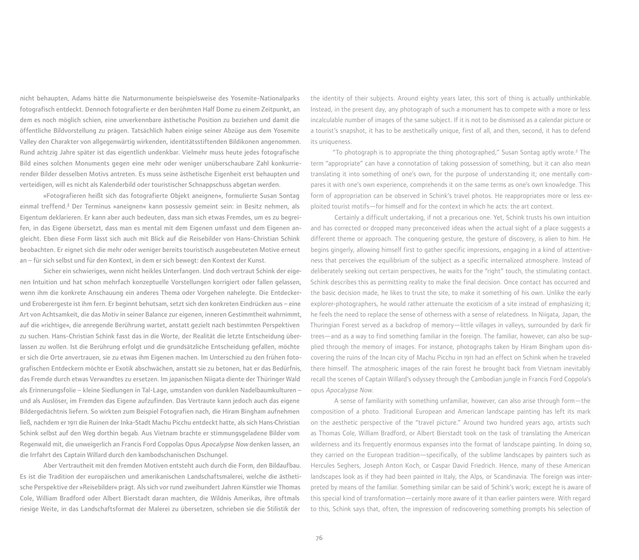nicht behaupten, Adams hätte die Naturmonumente beispielsweise des Yosemite-Nationalparks fotografisch entdeckt. Dennoch fotografierte er den berühmten Half Dome zu einem Zeitpunkt, an dem es noch möglich schien, eine unverkennbare ästhetische Position zu beziehen und damit die öffentliche Bildvorstellung zu prägen. Tatsächlich haben einige seiner Abzüge aus dem Yosemite Valley den Charakter von allgegenwärtig wirkenden, identitätsstiftenden Bildikonen angenommen. Rund achtzig Jahre später ist das eigentlich undenkbar. Vielmehr muss heute jedes fotografische Bild eines solchen Monuments gegen eine mehr oder weniger unüberschaubare Zahl konkurrierender Bilder desselben Motivs antreten. Es muss seine ästhetische Eigenheit erst behaupten und verteidigen, will es nicht als Kalenderbild oder touristischer Schnappschuss abgetan werden.

»Fotografieren heißt sich das fotografierte Objekt aneignen«, formulierte Susan Sontag einmal treffend.**<sup>2</sup>** Der Terminus »aneignen« kann possessiv gemeint sein: in Besitz nehmen, als Eigentum deklarieren. Er kann aber auch bedeuten, dass man sich etwas Fremdes, um es zu begreifen, in das Eigene übersetzt, dass man es mental mit dem Eigenen umfasst und dem Eigenen angleicht. Eben diese Form lässt sich auch mit Blick auf die Reisebilder von Hans-Christian Schink beobachten. Er eignet sich die mehr oder weniger bereits touristisch ausgebeuteten Motive erneut an – für sich selbst und für den Kontext, in dem er sich bewegt: den Kontext der Kunst.

Sicher ein schwieriges, wenn nicht heikles Unterfangen. Und doch vertraut Schink der eigenen Intuition und hat schon mehrfach konzeptuelle Vorstellungen korrigiert oder fallen gelassen, wenn ihm die konkrete Anschauung ein anderes Thema oder Vorgehen nahelegte. Die Entdeckerund Eroberergeste ist ihm fern. Er beginnt behutsam, setzt sich den konkreten Eindrücken aus – eine Art von Achtsamkeit, die das Motiv in seiner Balance zur eigenen, inneren Gestimmtheit wahrnimmt, auf die »richtige«, die anregende Berührung wartet, anstatt gezielt nach bestimmten Perspektiven zu suchen. Hans-Christian Schink fasst das in die Worte, der Realität die letzte Entscheidung überlassen zu wollen. Ist die Berührung erfolgt und die grundsätzliche Entscheidung gefallen, möchte er sich die Orte anvertrauen, sie zu etwas ihm Eigenen machen. Im Unterschied zu den frühen fotografischen Entdeckern möchte er Exotik abschwächen, anstatt sie zu betonen, hat er das Bedürfnis, das Fremde durch etwas Verwandtes zu ersetzen. Im japanischen Niigata diente der Thüringer Wald als Erinnerungsfolie – kleine Siedlungen in Tal-Lage, umstanden von dunklen Nadelbaumkulturen – und als Auslöser, im Fremden das Eigene aufzufinden. Das Vertraute kann jedoch auch das eigene Bildergedächtnis liefern. So wirkten zum Beispiel Fotografien nach, die Hiram Bingham aufnehmen ließ, nachdem er 1911 die Ruinen der Inka-Stadt Machu Picchu entdeckt hatte, als sich Hans-Christian Schink selbst auf den Weg dorthin begab. Aus Vietnam brachte er stimmungsgeladene Bilder vom Regenwald mit, die unweigerlich an Francis Ford Coppolas Opus Apocalypse Now denken lassen, an die Irrfahrt des Captain Willard durch den kambodschanischen Dschungel.

Aber Vertrautheit mit den fremden Motiven entsteht auch durch die Form, den Bildaufbau. Es ist die Tradition der europäischen und amerikanischen Landschaftsmalerei, welche die ästhetische Perspektive der »Reisebilder« prägt. Als sich vor rund zweihundert Jahren Künstler wie Thomas Cole, William Bradford oder Albert Bierstadt daran machten, die Wildnis Amerikas, ihre oftmals riesige Weite, in das Landschaftsformat der Malerei zu übersetzen, schrieben sie die Stilistik der

the identity of their subjects. Around eighty years later, this sort of thing is actually unthinkable. Instead, in the present day, any photograph of such a monument has to compete with a more or less incalculable number of images of the same subject. If it is not to be dismissed as a calendar picture or a tourist's snapshot, it has to be aesthetically unique, first of all, and then, second, it has to defend its uniqueness.

"To photograph is to appropriate the thing photographed," Susan Sontag aptly wrote.<sup>2</sup> The term "appropriate" can have a connotation of taking possession of something, but it can also mean translating it into something of one's own, for the purpose of understanding it; one mentally compares it with one's own experience, comprehends it on the same terms as one's own knowledge. This form of appropriation can be observed in Schink's travel photos. He reappropriates more or less exploited tourist motifs—for himself and for the context in which he acts: the art context.

Certainly a difficult undertaking, if not a precarious one. Yet, Schink trusts his own intuition and has corrected or dropped many preconceived ideas when the actual sight of a place suggests a different theme or approach. The conquering gesture, the gesture of discovery, is alien to him. He begins gingerly, allowing himself first to gather specific impressions, engaging in a kind of attentiveness that perceives the equilibrium of the subject as a specific internalized atmosphere. Instead of deliberately seeking out certain perspectives, he waits for the "right" touch, the stimulating contact. Schink describes this as permitting reality to make the final decision. Once contact has occurred and the basic decision made, he likes to trust the site, to make it something of his own. Unlike the early explorer-photographers, he would rather attenuate the exoticism of a site instead of emphasizing it; he feels the need to replace the sense of otherness with a sense of relatedness. In Niigata, Japan, the Thuringian Forest served as a backdrop of memory—little villages in valleys, surrounded by dark fir trees—and as a way to find something familiar in the foreign. The familiar, however, can also be supplied through the memory of images. For instance, photographs taken by Hiram Bingham upon discovering the ruins of the Incan city of Machu Picchu in 1911 had an effect on Schink when he traveled there himself. The atmospheric images of the rain forest he brought back from Vietnam inevitably recall the scenes of Captain Willard's odyssey through the Cambodian jungle in Francis Ford Coppola's opus Apocalypse Now.

A sense of familiarity with something unfamiliar, however, can also arise through form—the composition of a photo. Traditional European and American landscape painting has left its mark on the aesthetic perspective of the "travel picture." Around two hundred years ago, artists such as Thomas Cole, William Bradford, or Albert Bierstadt took on the task of translating the American wilderness and its frequently enormous expanses into the format of landscape painting. In doing so, they carried on the European tradition—specifically, of the sublime landscapes by painters such as Hercules Seghers, Joseph Anton Koch, or Caspar David Friedrich. Hence, many of these American landscapes look as if they had been painted in Italy, the Alps, or Scandinavia. The foreign was interpreted by means of the familiar. Something similar can be said of Schink's work; except he is aware of this special kind of transformation—certainly more aware of it than earlier painters were. With regard to this, Schink says that, often, the impression of rediscovering something prompts his selection of